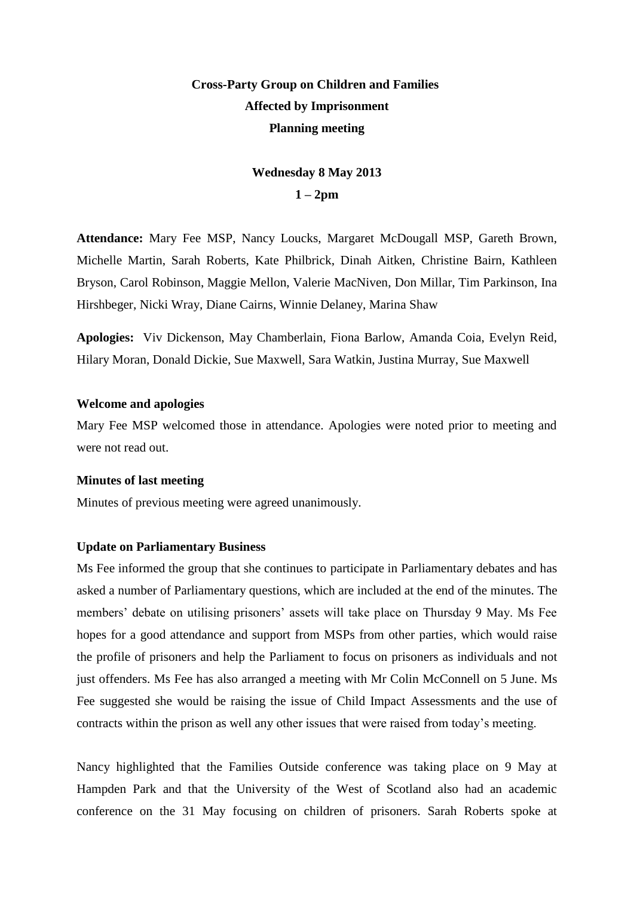# **Cross-Party Group on Children and Families Affected by Imprisonment Planning meeting**

## **Wednesday 8 May 2013 1 – 2pm**

**Attendance:** Mary Fee MSP, Nancy Loucks, Margaret McDougall MSP, Gareth Brown, Michelle Martin, Sarah Roberts, Kate Philbrick, Dinah Aitken, Christine Bairn, Kathleen Bryson, Carol Robinson, Maggie Mellon, Valerie MacNiven, Don Millar, Tim Parkinson, Ina Hirshbeger, Nicki Wray, Diane Cairns, Winnie Delaney, Marina Shaw

**Apologies:** Viv Dickenson, May Chamberlain, Fiona Barlow, Amanda Coia, Evelyn Reid, Hilary Moran, Donald Dickie, Sue Maxwell, Sara Watkin, Justina Murray, Sue Maxwell

#### **Welcome and apologies**

Mary Fee MSP welcomed those in attendance. Apologies were noted prior to meeting and were not read out.

#### **Minutes of last meeting**

Minutes of previous meeting were agreed unanimously.

#### **Update on Parliamentary Business**

Ms Fee informed the group that she continues to participate in Parliamentary debates and has asked a number of Parliamentary questions, which are included at the end of the minutes. The members' debate on utilising prisoners' assets will take place on Thursday 9 May. Ms Fee hopes for a good attendance and support from MSPs from other parties, which would raise the profile of prisoners and help the Parliament to focus on prisoners as individuals and not just offenders. Ms Fee has also arranged a meeting with Mr Colin McConnell on 5 June. Ms Fee suggested she would be raising the issue of Child Impact Assessments and the use of contracts within the prison as well any other issues that were raised from today's meeting.

Nancy highlighted that the Families Outside conference was taking place on 9 May at Hampden Park and that the University of the West of Scotland also had an academic conference on the 31 May focusing on children of prisoners. Sarah Roberts spoke at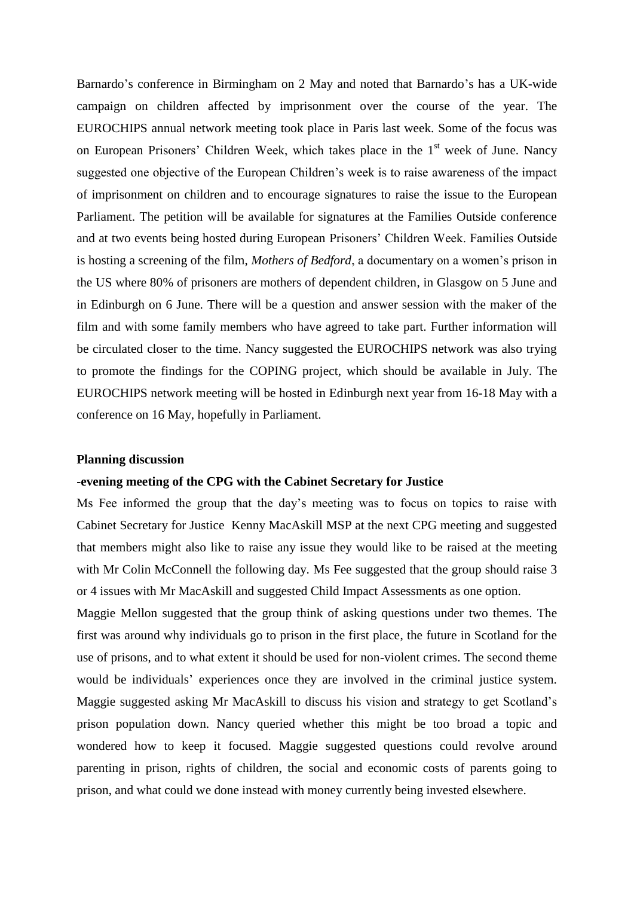Barnardo's conference in Birmingham on 2 May and noted that Barnardo's has a UK-wide campaign on children affected by imprisonment over the course of the year. The EUROCHIPS annual network meeting took place in Paris last week. Some of the focus was on European Prisoners' Children Week, which takes place in the  $1<sup>st</sup>$  week of June. Nancy suggested one objective of the European Children's week is to raise awareness of the impact of imprisonment on children and to encourage signatures to raise the issue to the European Parliament. The petition will be available for signatures at the Families Outside conference and at two events being hosted during European Prisoners' Children Week. Families Outside is hosting a screening of the film, *Mothers of Bedford*, a documentary on a women's prison in the US where 80% of prisoners are mothers of dependent children, in Glasgow on 5 June and in Edinburgh on 6 June. There will be a question and answer session with the maker of the film and with some family members who have agreed to take part. Further information will be circulated closer to the time. Nancy suggested the EUROCHIPS network was also trying to promote the findings for the COPING project, which should be available in July. The EUROCHIPS network meeting will be hosted in Edinburgh next year from 16-18 May with a conference on 16 May, hopefully in Parliament.

#### **Planning discussion**

#### **-evening meeting of the CPG with the Cabinet Secretary for Justice**

Ms Fee informed the group that the day's meeting was to focus on topics to raise with Cabinet Secretary for Justice Kenny MacAskill MSP at the next CPG meeting and suggested that members might also like to raise any issue they would like to be raised at the meeting with Mr Colin McConnell the following day. Ms Fee suggested that the group should raise 3 or 4 issues with Mr MacAskill and suggested Child Impact Assessments as one option.

Maggie Mellon suggested that the group think of asking questions under two themes. The first was around why individuals go to prison in the first place, the future in Scotland for the use of prisons, and to what extent it should be used for non-violent crimes. The second theme would be individuals' experiences once they are involved in the criminal justice system. Maggie suggested asking Mr MacAskill to discuss his vision and strategy to get Scotland's prison population down. Nancy queried whether this might be too broad a topic and wondered how to keep it focused. Maggie suggested questions could revolve around parenting in prison, rights of children, the social and economic costs of parents going to prison, and what could we done instead with money currently being invested elsewhere.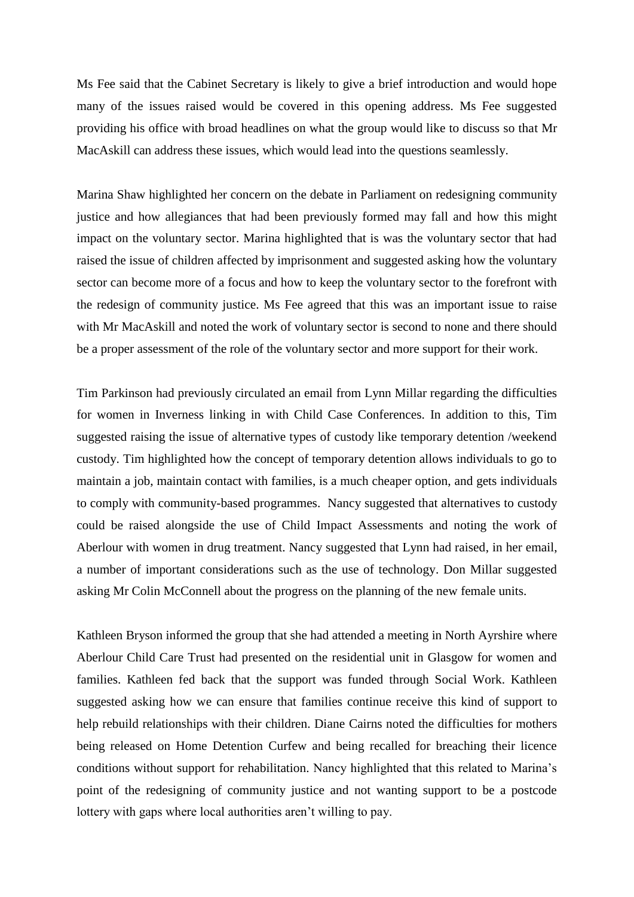Ms Fee said that the Cabinet Secretary is likely to give a brief introduction and would hope many of the issues raised would be covered in this opening address. Ms Fee suggested providing his office with broad headlines on what the group would like to discuss so that Mr MacAskill can address these issues, which would lead into the questions seamlessly.

Marina Shaw highlighted her concern on the debate in Parliament on redesigning community justice and how allegiances that had been previously formed may fall and how this might impact on the voluntary sector. Marina highlighted that is was the voluntary sector that had raised the issue of children affected by imprisonment and suggested asking how the voluntary sector can become more of a focus and how to keep the voluntary sector to the forefront with the redesign of community justice. Ms Fee agreed that this was an important issue to raise with Mr MacAskill and noted the work of voluntary sector is second to none and there should be a proper assessment of the role of the voluntary sector and more support for their work.

Tim Parkinson had previously circulated an email from Lynn Millar regarding the difficulties for women in Inverness linking in with Child Case Conferences. In addition to this, Tim suggested raising the issue of alternative types of custody like temporary detention /weekend custody. Tim highlighted how the concept of temporary detention allows individuals to go to maintain a job, maintain contact with families, is a much cheaper option, and gets individuals to comply with community-based programmes. Nancy suggested that alternatives to custody could be raised alongside the use of Child Impact Assessments and noting the work of Aberlour with women in drug treatment. Nancy suggested that Lynn had raised, in her email, a number of important considerations such as the use of technology. Don Millar suggested asking Mr Colin McConnell about the progress on the planning of the new female units.

Kathleen Bryson informed the group that she had attended a meeting in North Ayrshire where Aberlour Child Care Trust had presented on the residential unit in Glasgow for women and families. Kathleen fed back that the support was funded through Social Work. Kathleen suggested asking how we can ensure that families continue receive this kind of support to help rebuild relationships with their children. Diane Cairns noted the difficulties for mothers being released on Home Detention Curfew and being recalled for breaching their licence conditions without support for rehabilitation. Nancy highlighted that this related to Marina's point of the redesigning of community justice and not wanting support to be a postcode lottery with gaps where local authorities aren't willing to pay.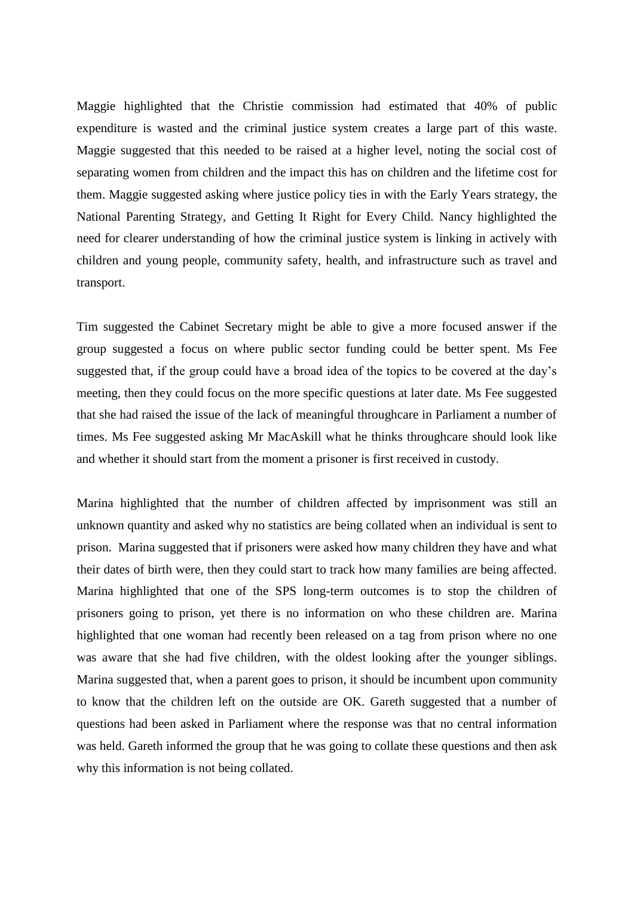Maggie highlighted that the Christie commission had estimated that 40% of public expenditure is wasted and the criminal justice system creates a large part of this waste. Maggie suggested that this needed to be raised at a higher level, noting the social cost of separating women from children and the impact this has on children and the lifetime cost for them. Maggie suggested asking where justice policy ties in with the Early Years strategy, the National Parenting Strategy, and Getting It Right for Every Child. Nancy highlighted the need for clearer understanding of how the criminal justice system is linking in actively with children and young people, community safety, health, and infrastructure such as travel and transport.

Tim suggested the Cabinet Secretary might be able to give a more focused answer if the group suggested a focus on where public sector funding could be better spent. Ms Fee suggested that, if the group could have a broad idea of the topics to be covered at the day's meeting, then they could focus on the more specific questions at later date. Ms Fee suggested that she had raised the issue of the lack of meaningful throughcare in Parliament a number of times. Ms Fee suggested asking Mr MacAskill what he thinks throughcare should look like and whether it should start from the moment a prisoner is first received in custody.

Marina highlighted that the number of children affected by imprisonment was still an unknown quantity and asked why no statistics are being collated when an individual is sent to prison. Marina suggested that if prisoners were asked how many children they have and what their dates of birth were, then they could start to track how many families are being affected. Marina highlighted that one of the SPS long-term outcomes is to stop the children of prisoners going to prison, yet there is no information on who these children are. Marina highlighted that one woman had recently been released on a tag from prison where no one was aware that she had five children, with the oldest looking after the younger siblings. Marina suggested that, when a parent goes to prison, it should be incumbent upon community to know that the children left on the outside are OK. Gareth suggested that a number of questions had been asked in Parliament where the response was that no central information was held. Gareth informed the group that he was going to collate these questions and then ask why this information is not being collated.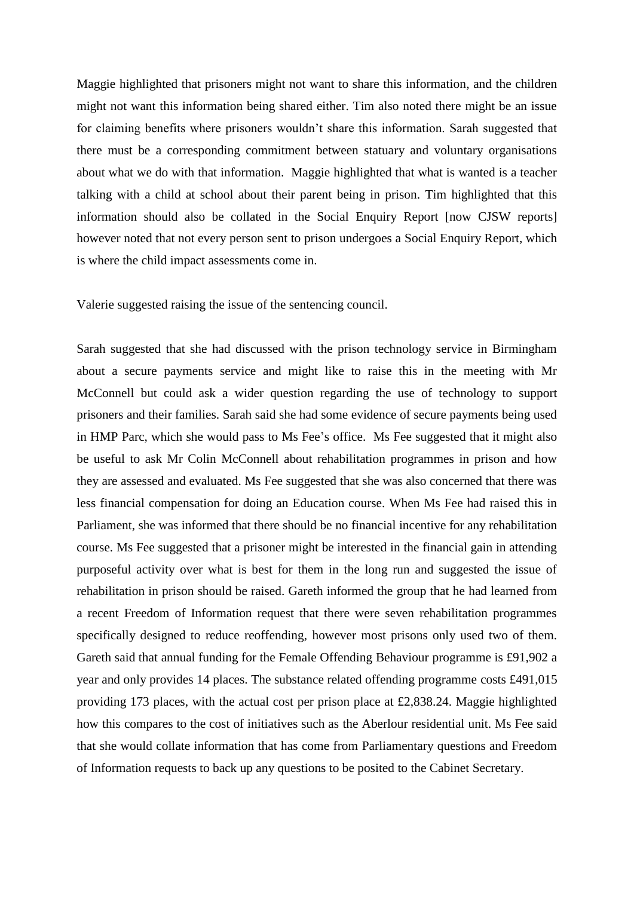Maggie highlighted that prisoners might not want to share this information, and the children might not want this information being shared either. Tim also noted there might be an issue for claiming benefits where prisoners wouldn't share this information. Sarah suggested that there must be a corresponding commitment between statuary and voluntary organisations about what we do with that information. Maggie highlighted that what is wanted is a teacher talking with a child at school about their parent being in prison. Tim highlighted that this information should also be collated in the Social Enquiry Report [now CJSW reports] however noted that not every person sent to prison undergoes a Social Enquiry Report, which is where the child impact assessments come in.

Valerie suggested raising the issue of the sentencing council.

Sarah suggested that she had discussed with the prison technology service in Birmingham about a secure payments service and might like to raise this in the meeting with Mr McConnell but could ask a wider question regarding the use of technology to support prisoners and their families. Sarah said she had some evidence of secure payments being used in HMP Parc, which she would pass to Ms Fee's office. Ms Fee suggested that it might also be useful to ask Mr Colin McConnell about rehabilitation programmes in prison and how they are assessed and evaluated. Ms Fee suggested that she was also concerned that there was less financial compensation for doing an Education course. When Ms Fee had raised this in Parliament, she was informed that there should be no financial incentive for any rehabilitation course. Ms Fee suggested that a prisoner might be interested in the financial gain in attending purposeful activity over what is best for them in the long run and suggested the issue of rehabilitation in prison should be raised. Gareth informed the group that he had learned from a recent Freedom of Information request that there were seven rehabilitation programmes specifically designed to reduce reoffending, however most prisons only used two of them. Gareth said that annual funding for the Female Offending Behaviour programme is £91,902 a year and only provides 14 places. The substance related offending programme costs £491,015 providing 173 places, with the actual cost per prison place at £2,838.24. Maggie highlighted how this compares to the cost of initiatives such as the Aberlour residential unit. Ms Fee said that she would collate information that has come from Parliamentary questions and Freedom of Information requests to back up any questions to be posited to the Cabinet Secretary.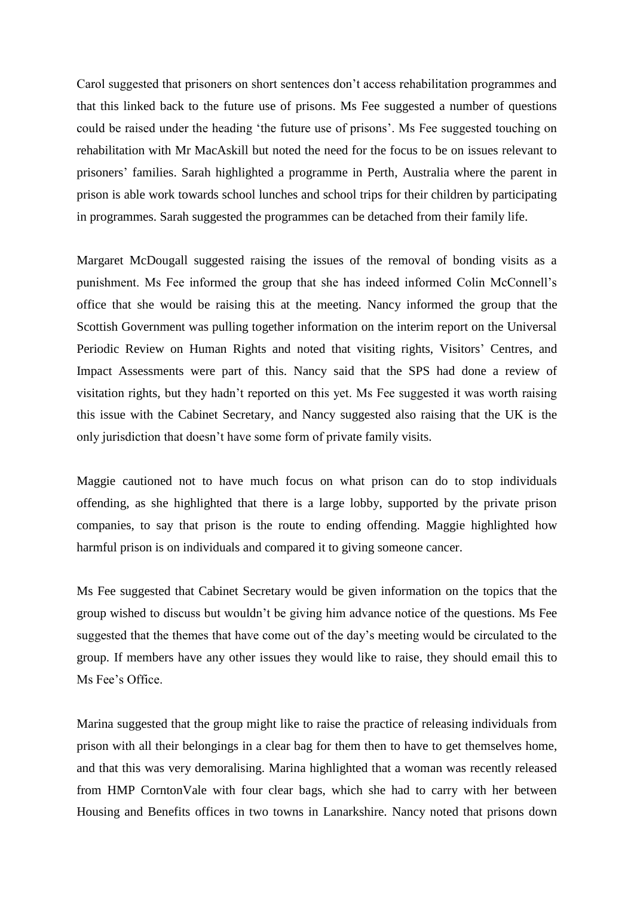Carol suggested that prisoners on short sentences don't access rehabilitation programmes and that this linked back to the future use of prisons. Ms Fee suggested a number of questions could be raised under the heading 'the future use of prisons'. Ms Fee suggested touching on rehabilitation with Mr MacAskill but noted the need for the focus to be on issues relevant to prisoners' families. Sarah highlighted a programme in Perth, Australia where the parent in prison is able work towards school lunches and school trips for their children by participating in programmes. Sarah suggested the programmes can be detached from their family life.

Margaret McDougall suggested raising the issues of the removal of bonding visits as a punishment. Ms Fee informed the group that she has indeed informed Colin McConnell's office that she would be raising this at the meeting. Nancy informed the group that the Scottish Government was pulling together information on the interim report on the Universal Periodic Review on Human Rights and noted that visiting rights, Visitors' Centres, and Impact Assessments were part of this. Nancy said that the SPS had done a review of visitation rights, but they hadn't reported on this yet. Ms Fee suggested it was worth raising this issue with the Cabinet Secretary, and Nancy suggested also raising that the UK is the only jurisdiction that doesn't have some form of private family visits.

Maggie cautioned not to have much focus on what prison can do to stop individuals offending, as she highlighted that there is a large lobby, supported by the private prison companies, to say that prison is the route to ending offending. Maggie highlighted how harmful prison is on individuals and compared it to giving someone cancer.

Ms Fee suggested that Cabinet Secretary would be given information on the topics that the group wished to discuss but wouldn't be giving him advance notice of the questions. Ms Fee suggested that the themes that have come out of the day's meeting would be circulated to the group. If members have any other issues they would like to raise, they should email this to Ms Fee's Office.

Marina suggested that the group might like to raise the practice of releasing individuals from prison with all their belongings in a clear bag for them then to have to get themselves home, and that this was very demoralising. Marina highlighted that a woman was recently released from HMP CorntonVale with four clear bags, which she had to carry with her between Housing and Benefits offices in two towns in Lanarkshire. Nancy noted that prisons down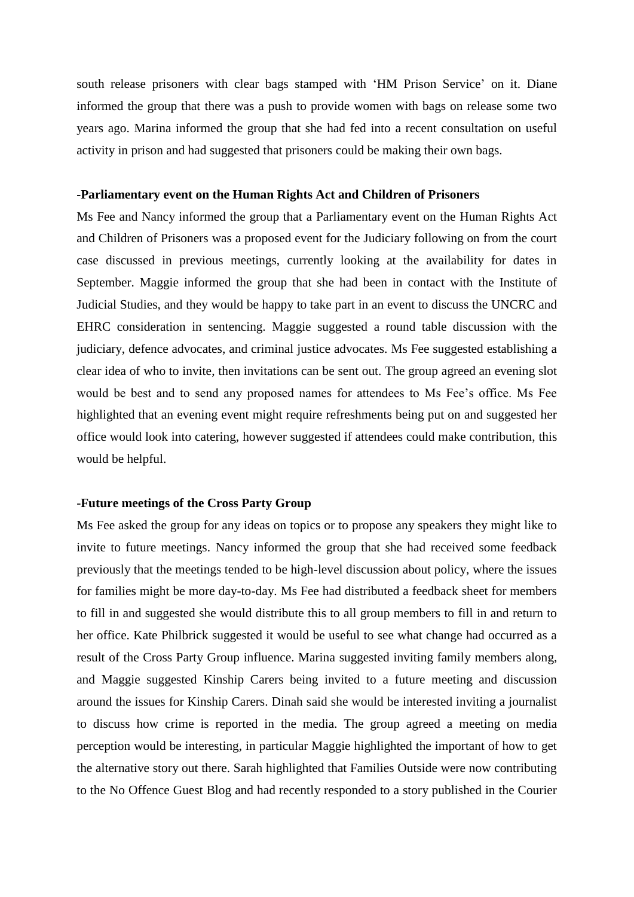south release prisoners with clear bags stamped with 'HM Prison Service' on it. Diane informed the group that there was a push to provide women with bags on release some two years ago. Marina informed the group that she had fed into a recent consultation on useful activity in prison and had suggested that prisoners could be making their own bags.

#### **-Parliamentary event on the Human Rights Act and Children of Prisoners**

Ms Fee and Nancy informed the group that a Parliamentary event on the Human Rights Act and Children of Prisoners was a proposed event for the Judiciary following on from the court case discussed in previous meetings, currently looking at the availability for dates in September. Maggie informed the group that she had been in contact with the Institute of Judicial Studies, and they would be happy to take part in an event to discuss the UNCRC and EHRC consideration in sentencing. Maggie suggested a round table discussion with the judiciary, defence advocates, and criminal justice advocates. Ms Fee suggested establishing a clear idea of who to invite, then invitations can be sent out. The group agreed an evening slot would be best and to send any proposed names for attendees to Ms Fee's office. Ms Fee highlighted that an evening event might require refreshments being put on and suggested her office would look into catering, however suggested if attendees could make contribution, this would be helpful.

#### -**Future meetings of the Cross Party Group**

Ms Fee asked the group for any ideas on topics or to propose any speakers they might like to invite to future meetings. Nancy informed the group that she had received some feedback previously that the meetings tended to be high-level discussion about policy, where the issues for families might be more day-to-day. Ms Fee had distributed a feedback sheet for members to fill in and suggested she would distribute this to all group members to fill in and return to her office. Kate Philbrick suggested it would be useful to see what change had occurred as a result of the Cross Party Group influence. Marina suggested inviting family members along, and Maggie suggested Kinship Carers being invited to a future meeting and discussion around the issues for Kinship Carers. Dinah said she would be interested inviting a journalist to discuss how crime is reported in the media. The group agreed a meeting on media perception would be interesting, in particular Maggie highlighted the important of how to get the alternative story out there. Sarah highlighted that Families Outside were now contributing to the No Offence Guest Blog and had recently responded to a story published in the Courier